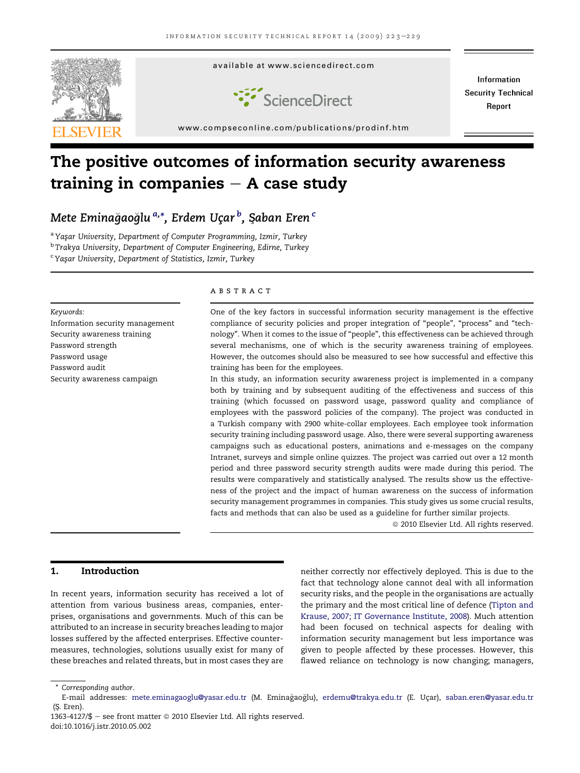

# The positive outcomes of information security awareness training in companies  $-$  A case study

Mete Eminağaoğlu <sup>a,</sup>\*, Erdem Uçar <sup>b</sup>, Şaban Eren <sup>c</sup>

<sup>a</sup> Yaşar University, Department of Computer Programming, Izmir, Turkey <sup>b</sup> Trakya University, Department of Computer Engineering, Edirne, Turkey

<sup>c</sup> Yaşar University, Department of Statistics, Izmir, Turkey

#### Keywords:

Information security management Security awareness training Password strength Password usage Password audit Security awareness campaign

## **ABSTRACT**

One of the key factors in successful information security management is the effective compliance of security policies and proper integration of "people", "process" and "technology". When it comes to the issue of "people", this effectiveness can be achieved through several mechanisms, one of which is the security awareness training of employees. However, the outcomes should also be measured to see how successful and effective this training has been for the employees.

In this study, an information security awareness project is implemented in a company both by training and by subsequent auditing of the effectiveness and success of this training (which focussed on password usage, password quality and compliance of employees with the password policies of the company). The project was conducted in a Turkish company with 2900 white-collar employees. Each employee took information security training including password usage. Also, there were several supporting awareness campaigns such as educational posters, animations and e-messages on the company Intranet, surveys and simple online quizzes. The project was carried out over a 12 month period and three password security strength audits were made during this period. The results were comparatively and statistically analysed. The results show us the effectiveness of the project and the impact of human awareness on the success of information security management programmes in companies. This study gives us some crucial results, facts and methods that can also be used as a guideline for further similar projects.

<sup>©</sup> 2010 Elsevier Ltd. All rights reserved.

# 1. Introduction

In recent years, information security has received a lot of attention from various business areas, companies, enterprises, organisations and governments. Much of this can be attributed to an increase in security breaches leading to major losses suffered by the affected enterprises. Effective countermeasures, technologies, solutions usually exist for many of these breaches and related threats, but in most cases they are

neither correctly nor effectively deployed. This is due to the fact that technology alone cannot deal with all information security risks, and the people in the organisations are actually the primary and the most critical line of defence ([Tipton and](#page-6-0) [Krause, 2007; IT Governance Institute, 2008\)](#page-6-0). Much attention had been focused on technical aspects for dealing with information security management but less importance was given to people affected by these processes. However, this flawed reliance on technology is now changing; managers,

<sup>\*</sup> Corresponding author.

E-mail addresses: [mete.eminagaoglu@yasar.edu.tr](mailto:mete.eminagaoglu@yasar.edu.tr) (M. Eminagao glu), [erdemu@trakya.edu.tr](mailto:erdemu@trakya.edu.tr) (E. Uc¸ar), [saban.eren@yasar.edu.tr](mailto:saban.eren@yasar.edu.tr)  $(S.$  Eren).

<sup>1363-4127/\$ -</sup> see front matter  $\odot$  2010 Elsevier Ltd. All rights reserved. doi:10.1016/j.istr.2010.05.002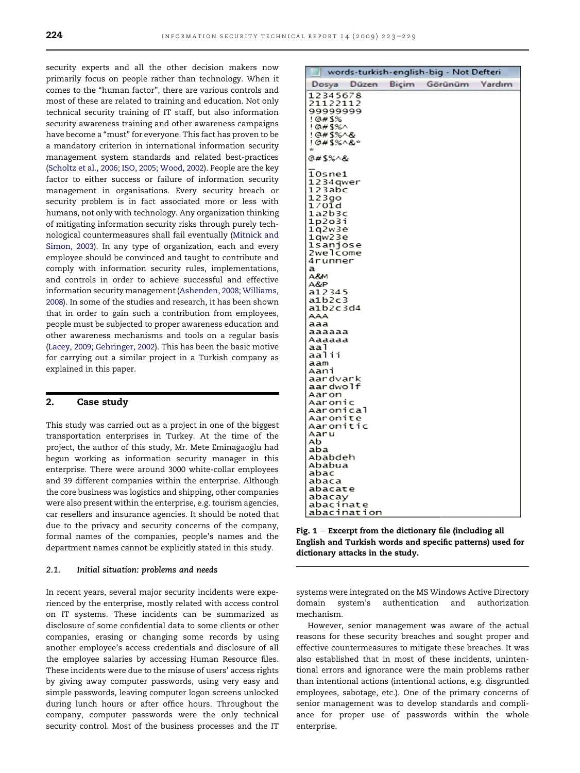<span id="page-1-0"></span>security experts and all the other decision makers now primarily focus on people rather than technology. When it comes to the "human factor", there are various controls and most of these are related to training and education. Not only technical security training of IT staff, but also information security awareness training and other awareness campaigns have become a "must" for everyone. This fact has proven to be a mandatory criterion in international information security management system standards and related best-practices ([Scholtz et al., 2006; ISO, 2005; Wood, 2002](#page-6-0)). People are the key factor to either success or failure of information security management in organisations. Every security breach or security problem is in fact associated more or less with humans, not only with technology. Any organization thinking of mitigating information security risks through purely technological countermeasures shall fail eventually [\(Mitnick and](#page-6-0) [Simon, 2003](#page-6-0)). In any type of organization, each and every employee should be convinced and taught to contribute and comply with information security rules, implementations, and controls in order to achieve successful and effective information security management [\(Ashenden, 2008; Williams,](#page-6-0) [2008\)](#page-6-0). In some of the studies and research, it has been shown that in order to gain such a contribution from employees, people must be subjected to proper awareness education and other awareness mechanisms and tools on a regular basis ([Lacey, 2009; Gehringer, 2002\)](#page-6-0). This has been the basic motive for carrying out a similar project in a Turkish company as explained in this paper.

## 2. Case study

This study was carried out as a project in one of the biggest transportation enterprises in Turkey. At the time of the project, the author of this study, Mr. Mete Eminağaoğlu had begun working as information security manager in this enterprise. There were around 3000 white-collar employees and 39 different companies within the enterprise. Although the core business was logistics and shipping, other companies were also present within the enterprise, e.g. tourism agencies, car resellers and insurance agencies. It should be noted that due to the privacy and security concerns of the company, formal names of the companies, people's names and the department names cannot be explicitly stated in this study.

## 2.1. Initial situation: problems and needs

In recent years, several major security incidents were experienced by the enterprise, mostly related with access control on IT systems. These incidents can be summarized as disclosure of some confidential data to some clients or other companies, erasing or changing some records by using another employee's access credentials and disclosure of all the employee salaries by accessing Human Resource files. These incidents were due to the misuse of users' access rights by giving away computer passwords, using very easy and simple passwords, leaving computer logon screens unlocked during lunch hours or after office hours. Throughout the company, computer passwords were the only technical security control. Most of the business processes and the IT

| words-turkish-english-big - Not Defteri                                                                                                                                                                                                                                                                                                   |  |  |        |
|-------------------------------------------------------------------------------------------------------------------------------------------------------------------------------------------------------------------------------------------------------------------------------------------------------------------------------------------|--|--|--------|
| Dosya Düzen Biçim Görünüm                                                                                                                                                                                                                                                                                                                 |  |  | Yardım |
| 12345678<br>21122112<br>99999999<br>10#5%<br>! @#\$%^<br>!@#\$%^&<br>! @#S%^&*<br>÷                                                                                                                                                                                                                                                       |  |  |        |
| @#\$%^&                                                                                                                                                                                                                                                                                                                                   |  |  |        |
| 10sne1<br>1234 qwer<br>123abc<br>123go<br>170ĭd<br>1a2b3c<br>1p2o3i<br>1q2w3e<br>1qw23e<br>lsanjose<br>2welcome<br>4runner<br>a<br>A8M<br>A&P<br>a12345<br>a1b2c3<br>alb2c3d4<br>AAA<br>aaa<br>aaaaaa<br>Aaaaaa<br>aa l<br>aalii<br>aam<br>Aani<br>aardvark<br>aardwolf<br>Aaron<br>Aaronic<br>Aaronical<br>Aaronite<br>Aaronitic<br>Aaru |  |  |        |
| Ab<br>aba<br>Ababdeh<br>Ababua                                                                                                                                                                                                                                                                                                            |  |  |        |
| abac<br>abaca<br>abacate<br>abacay<br>abacinate                                                                                                                                                                                                                                                                                           |  |  |        |
| abacination                                                                                                                                                                                                                                                                                                                               |  |  |        |

Fig.  $1 -$  Excerpt from the dictionary file (including all English and Turkish words and specific patterns) used for dictionary attacks in the study.

systems were integrated on the MS Windows Active Directory domain system's authentication and authorization mechanism.

However, senior management was aware of the actual reasons for these security breaches and sought proper and effective countermeasures to mitigate these breaches. It was also established that in most of these incidents, unintentional errors and ignorance were the main problems rather than intentional actions (intentional actions, e.g. disgruntled employees, sabotage, etc.). One of the primary concerns of senior management was to develop standards and compliance for proper use of passwords within the whole enterprise.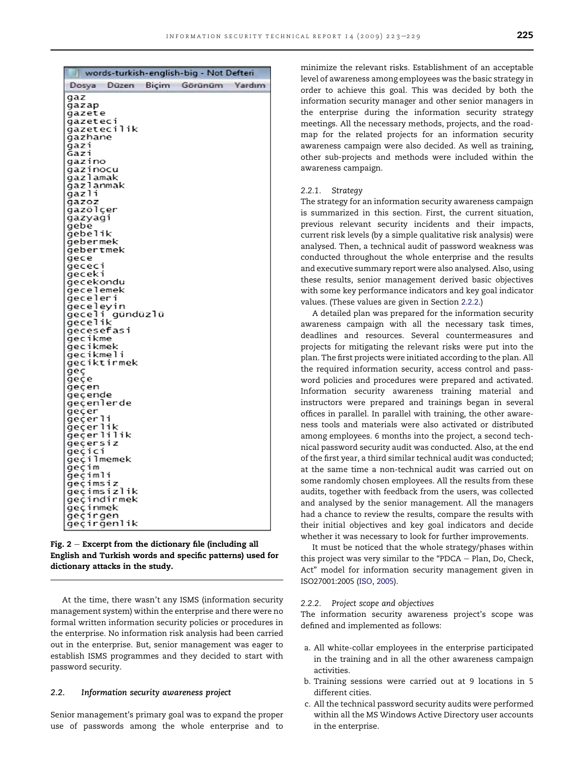|                       |                 | words-turkish-english-big - Not Defteri |  |
|-----------------------|-----------------|-----------------------------------------|--|
|                       |                 | Dosya Düzen Biçim Görünüm Yardım        |  |
| gaz                   |                 |                                         |  |
| gazap                 |                 |                                         |  |
| gazete                |                 |                                         |  |
| qazeteci              |                 |                                         |  |
|                       | qazetecilik     |                                         |  |
| gazhane               |                 |                                         |  |
| qazi                  |                 |                                         |  |
| Gaz1                  |                 |                                         |  |
| gazino<br>gazinocu    |                 |                                         |  |
| qazlamak              |                 |                                         |  |
| gazlanmak             |                 |                                         |  |
| gazli                 |                 |                                         |  |
| gazoz                 |                 |                                         |  |
| gazölçer              |                 |                                         |  |
| gazyagi               |                 |                                         |  |
| gebe                  |                 |                                         |  |
| gebelik               |                 |                                         |  |
| gebermek              |                 |                                         |  |
| gebertmek             |                 |                                         |  |
| gece                  |                 |                                         |  |
| gececi                |                 |                                         |  |
| geceki                |                 |                                         |  |
| gecekondu             |                 |                                         |  |
| gecelemek<br>geceleri |                 |                                         |  |
| geceleyin             |                 |                                         |  |
|                       | geceli gündüzlü |                                         |  |
| gecelik               |                 |                                         |  |
| qecesefasi            |                 |                                         |  |
| gecikme               |                 |                                         |  |
| gecikmek              |                 |                                         |  |
| gecikmeli             |                 |                                         |  |
|                       | geciktirmek     |                                         |  |
| geç                   |                 |                                         |  |
| geçe                  |                 |                                         |  |
| geçen                 |                 |                                         |  |
| geçende               |                 |                                         |  |
| geçenlerde            |                 |                                         |  |
| geçer<br>geçerli      |                 |                                         |  |
| geçerlik              |                 |                                         |  |
| geçerlilik            |                 |                                         |  |
| geçersiz              |                 |                                         |  |
| gecici                |                 |                                         |  |
| geçilmemek            |                 |                                         |  |
| geçim                 |                 |                                         |  |
| ğeçimli               |                 |                                         |  |
| geçimsiz              |                 |                                         |  |
|                       | geçimsizlik     |                                         |  |
|                       | geçindirmek     |                                         |  |
| gecinmek              |                 |                                         |  |
| geçirgen              |                 |                                         |  |
|                       | geçirgenlik     |                                         |  |

Fig.  $2$  – Excerpt from the dictionary file (including all English and Turkish words and specific patterns) used for dictionary attacks in the study.

At the time, there wasn't any ISMS (information security management system) within the enterprise and there were no formal written information security policies or procedures in the enterprise. No information risk analysis had been carried out in the enterprise. But, senior management was eager to establish ISMS programmes and they decided to start with password security.

#### 2.2. Information security awareness project

Senior management's primary goal was to expand the proper use of passwords among the whole enterprise and to minimize the relevant risks. Establishment of an acceptable level of awareness among employees was the basic strategy in order to achieve this goal. This was decided by both the information security manager and other senior managers in the enterprise during the information security strategy meetings. All the necessary methods, projects, and the roadmap for the related projects for an information security awareness campaign were also decided. As well as training, other sub-projects and methods were included within the awareness campaign.

#### 2.2.1. Strategy

The strategy for an information security awareness campaign is summarized in this section. First, the current situation, previous relevant security incidents and their impacts, current risk levels (by a simple qualitative risk analysis) were analysed. Then, a technical audit of password weakness was conducted throughout the whole enterprise and the results and executive summary report were also analysed. Also, using these results, senior management derived basic objectives with some key performance indicators and key goal indicator values. (These values are given in Section 2.2.2.)

A detailed plan was prepared for the information security awareness campaign with all the necessary task times, deadlines and resources. Several countermeasures and projects for mitigating the relevant risks were put into the plan. The first projects were initiated according to the plan. All the required information security, access control and password policies and procedures were prepared and activated. Information security awareness training material and instructors were prepared and trainings began in several offices in parallel. In parallel with training, the other awareness tools and materials were also activated or distributed among employees. 6 months into the project, a second technical password security audit was conducted. Also, at the end of the first year, a third similar technical audit was conducted; at the same time a non-technical audit was carried out on some randomly chosen employees. All the results from these audits, together with feedback from the users, was collected and analysed by the senior management. All the managers had a chance to review the results, compare the results with their initial objectives and key goal indicators and decide whether it was necessary to look for further improvements.

It must be noticed that the whole strategy/phases within this project was very similar to the "PDCA  $-$  Plan, Do, Check, Act" model for information security management given in ISO27001:2005 ([ISO, 2005\)](#page-6-0).

#### 2.2.2. Project scope and objectives

The information security awareness project's scope was defined and implemented as follows:

- a. All white-collar employees in the enterprise participated in the training and in all the other awareness campaign activities.
- b. Training sessions were carried out at 9 locations in 5 different cities.
- c. All the technical password security audits were performed within all the MS Windows Active Directory user accounts in the enterprise.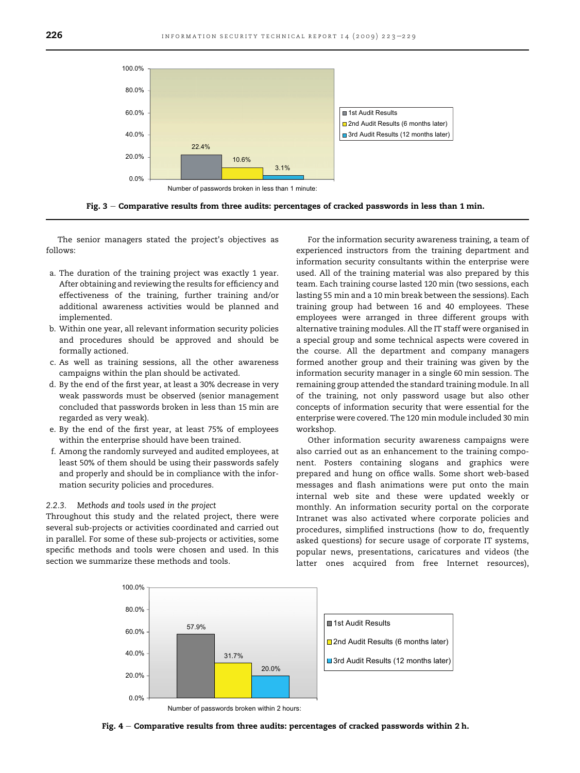<span id="page-3-0"></span>

Fig. 3 - Comparative results from three audits: percentages of cracked passwords in less than 1 min.

The senior managers stated the project's objectives as follows:

- a. The duration of the training project was exactly 1 year. After obtaining and reviewing the results for efficiency and effectiveness of the training, further training and/or additional awareness activities would be planned and implemented.
- b. Within one year, all relevant information security policies and procedures should be approved and should be formally actioned.
- c. As well as training sessions, all the other awareness campaigns within the plan should be activated.
- d. By the end of the first year, at least a 30% decrease in very weak passwords must be observed (senior management concluded that passwords broken in less than 15 min are regarded as very weak).
- e. By the end of the first year, at least 75% of employees within the enterprise should have been trained.
- f. Among the randomly surveyed and audited employees, at least 50% of them should be using their passwords safely and properly and should be in compliance with the information security policies and procedures.

#### 2.2.3. Methods and tools used in the project

Throughout this study and the related project, there were several sub-projects or activities coordinated and carried out in parallel. For some of these sub-projects or activities, some specific methods and tools were chosen and used. In this section we summarize these methods and tools.

For the information security awareness training, a team of experienced instructors from the training department and information security consultants within the enterprise were used. All of the training material was also prepared by this team. Each training course lasted 120 min (two sessions, each lasting 55 min and a 10 min break between the sessions). Each training group had between 16 and 40 employees. These employees were arranged in three different groups with alternative training modules. All the IT staff were organised in a special group and some technical aspects were covered in the course. All the department and company managers formed another group and their training was given by the information security manager in a single 60 min session. The remaining group attended the standard training module. In all of the training, not only password usage but also other concepts of information security that were essential for the enterprise were covered. The 120 min module included 30 min workshop.

Other information security awareness campaigns were also carried out as an enhancement to the training component. Posters containing slogans and graphics were prepared and hung on office walls. Some short web-based messages and flash animations were put onto the main internal web site and these were updated weekly or monthly. An information security portal on the corporate Intranet was also activated where corporate policies and procedures, simplified instructions (how to do, frequently asked questions) for secure usage of corporate IT systems, popular news, presentations, caricatures and videos (the latter ones acquired from free Internet resources),



Number of passwords broken within 2 hours:

Fig.  $4$  – Comparative results from three audits: percentages of cracked passwords within 2 h.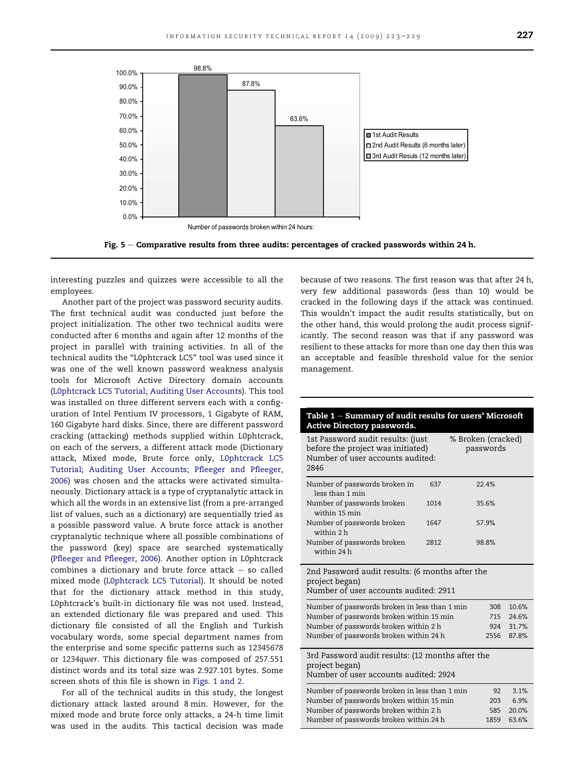<span id="page-4-0"></span>

Fig.  $5 -$  Comparative results from three audits: percentages of cracked passwords within 24 h.

interesting puzzles and quizzes were accessible to all the employees.

Another part of the project was password security audits. The first technical audit was conducted just before the project initialization. The other two technical audits were conducted after 6 months and again after 12 months of the project in parallel with training activities. In all of the technical audits the "L0phtcrack LC5" tool was used since it was one of the well known password weakness analysis tools for Microsoft Active Directory domain accounts [\(L0phtcrack LC5 Tutorial; Auditing User Accounts\)](#page-6-0). This tool was installed on three different servers each with a configuration of Intel Pentium IV processors, 1 Gigabyte of RAM, 160 Gigabyte hard disks. Since, there are different password cracking (attacking) methods supplied within L0phtcrack, on each of the servers, a different attack mode (Dictionary attack, Mixed mode, Brute force only, [L0phtcrack LC5](#page-6-0) [Tutorial; Auditing User Accounts; Pfleeger and Pfleeger,](#page-6-0) [2006\)](#page-6-0) was chosen and the attacks were activated simultaneously. Dictionary attack is a type of cryptanalytic attack in which all the words in an extensive list (from a pre-arranged list of values, such as a dictionary) are sequentially tried as a possible password value. A brute force attack is another cryptanalytic technique where all possible combinations of the password (key) space are searched systematically [\(Pfleeger and Pfleeger, 2006](#page-6-0)). Another option in L0phtcrack combines a dictionary and brute force attack  $-$  so called mixed mode ([L0phtcrack LC5 Tutorial\)](#page-6-0). It should be noted that for the dictionary attack method in this study, L0phtcrack's built-in dictionary file was not used. Instead, an extended dictionary file was prepared and used. This dictionary file consisted of all the English and Turkish vocabulary words, some special department names from the enterprise and some specific patterns such as 12345678 or 1234qwer. This dictionary file was composed of 257.551 distinct words and its total size was 2.927.101 bytes. Some screen shots of this file is shown in [Figs. 1 and 2.](#page-1-0)

For all of the technical audits in this study, the longest dictionary attack lasted around 8 min. However, for the mixed mode and brute force only attacks, a 24-h time limit was used in the audits. This tactical decision was made

because of two reasons. The first reason was that after 24 h, very few additional passwords (less than 10) would be cracked in the following days if the attack was continued. This wouldn't impact the audit results statistically, but on the other hand, this would prolong the audit process significantly. The second reason was that if any password was resilient to these attacks for more than one day then this was an acceptable and feasible threshold value for the senior management.

| Table 1 – Summary of audit results for users' Microsoft<br><b>Active Directory passwords.</b>                      |             |                                 |       |  |
|--------------------------------------------------------------------------------------------------------------------|-------------|---------------------------------|-------|--|
| 1st Password audit results: (just<br>before the project was initiated)<br>Number of user accounts audited:<br>2846 |             | % Broken (cracked)<br>passwords |       |  |
| Number of passwords broken in<br>less than 1 min                                                                   | 637         | 22.4%                           |       |  |
| Number of passwords broken<br>within 15 min                                                                        | 1014        | 35.6%                           |       |  |
| Number of passwords broken<br>within 2 h                                                                           | 1647        | 57.9%                           |       |  |
| Number of passwords broken<br>within 24 h                                                                          | 2812        | 98.8%                           |       |  |
| 2nd Password audit results: (6 months after the<br>project began)<br>Number of user accounts audited: 2911         |             |                                 |       |  |
| Number of passwords broken in less than 1 min                                                                      |             | 308                             | 10.6% |  |
| Number of passwords broken within 15 min                                                                           | 715         | 24.6%                           |       |  |
| Number of passwords broken within 2 h<br>Number of passwords broken within 24 h                                    | 924<br>2556 | 31.7%<br>87.8%                  |       |  |
|                                                                                                                    |             |                                 |       |  |
| 3rd Password audit results: (12 months after the<br>project began)<br>Number of user accounts audited: 2924        |             |                                 |       |  |
| Number of passwords broken in less than 1 min                                                                      |             | 92                              | 3.1%  |  |
| Number of passwords broken within 15 min                                                                           |             | 203                             | 6.9%  |  |
| Number of passwords broken within 2 h                                                                              |             | 585                             | 20.0% |  |
| Number of passwords broken within 24 h                                                                             |             | 1859                            | 63.6% |  |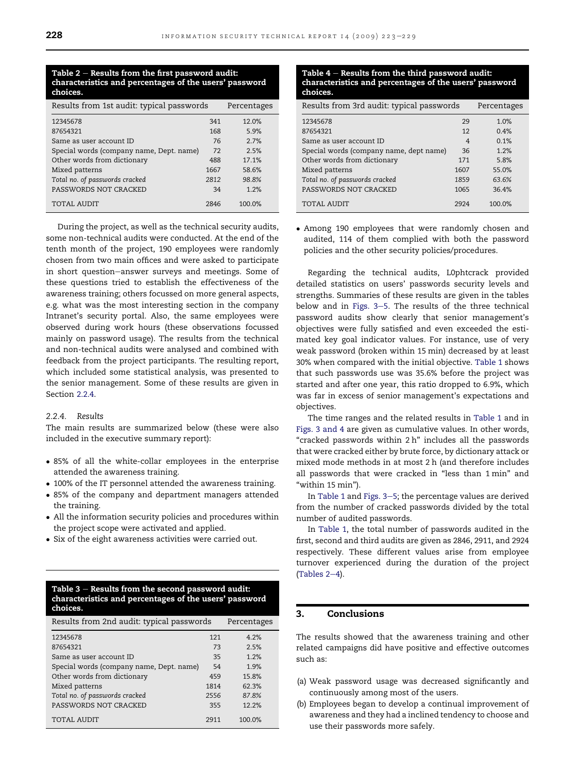#### Table  $2$  – Results from the first password audit: characteristics and percentages of the users' password choices.

| Results from 1st audit: typical passwords |      | Percentages |
|-------------------------------------------|------|-------------|
| 12345678                                  | 341  | 12.0%       |
| 87654321                                  | 168  | 5.9%        |
| Same as user account ID                   | 76   | 2.7%        |
| Special words (company name, Dept. name)  | 72   | 2.5%        |
| Other words from dictionary               | 488  | 17.1%       |
| Mixed patterns                            | 1667 | 58.6%       |
| Total no. of passwords cracked            | 2812 | 98.8%       |
| PASSWORDS NOT CRACKED                     | 34   | 1.2%        |
| TOTAL AUDIT                               | 2846 | 100.0%      |

During the project, as well as the technical security audits, some non-technical audits were conducted. At the end of the tenth month of the project, 190 employees were randomly chosen from two main offices and were asked to participate in short question-answer surveys and meetings. Some of these questions tried to establish the effectiveness of the awareness training; others focussed on more general aspects, e.g. what was the most interesting section in the company Intranet's security portal. Also, the same employees were observed during work hours (these observations focussed mainly on password usage). The results from the technical and non-technical audits were analysed and combined with feedback from the project participants. The resulting report, which included some statistical analysis, was presented to the senior management. Some of these results are given in Section 2.2.4.

# 2.2.4 Results

The main results are summarized below (these were also included in the executive summary report):

- 85% of all the white-collar employees in the enterprise attended the awareness training.
- 100% of the IT personnel attended the awareness training.
- 85% of the company and department managers attended the training.
- All the information security policies and procedures within the project scope were activated and applied.
- Six of the eight awareness activities were carried out.

Table  $3$  – Results from the second password audit: characteristics and percentages of the users' password choices.

| Results from 2nd audit: typical passwords | Percentages |        |
|-------------------------------------------|-------------|--------|
| 12345678                                  | 121         | 4.2%   |
| 87654321                                  | 73          | 2.5%   |
| Same as user account ID                   | 35          | 1.2%   |
| Special words (company name, Dept. name)  |             | 1.9%   |
| Other words from dictionary               | 459         | 15.8%  |
| Mixed patterns                            | 1814        | 62.3%  |
| Total no. of passwords cracked            | 2556        | 87.8%  |
| PASSWORDS NOT CRACKED                     | 355         | 12.2%  |
| TOTAL AUDIT                               | 2911        | 100.0% |

Table  $4 -$  Results from the third password audit: characteristics and percentages of the users' password choices.

| Results from 3rd audit: typical passwords | Percentages |        |
|-------------------------------------------|-------------|--------|
| 12345678                                  | 29          | 1.0%   |
| 87654321                                  | 12          | 0.4%   |
| Same as user account ID                   | 4           | 0.1%   |
| Special words (company name, dept name)   | 36          | 1.2%   |
| Other words from dictionary               | 171         | 5.8%   |
| Mixed patterns                            | 1607        | 55.0%  |
| Total no. of passwords cracked            | 1859        | 63.6%  |
| PASSWORDS NOT CRACKED                     | 1065        | 36.4%  |
| TOTAL AUDIT                               | 2924        | 100.0% |

 Among 190 employees that were randomly chosen and audited, 114 of them complied with both the password policies and the other security policies/procedures.

Regarding the technical audits, L0phtcrack provided detailed statistics on users' passwords security levels and strengths. Summaries of these results are given in the tables below and in Figs.  $3-5$ . The results of the three technical password audits show clearly that senior management's objectives were fully satisfied and even exceeded the estimated key goal indicator values. For instance, use of very weak password (broken within 15 min) decreased by at least 30% when compared with the initial objective. [Table 1](#page-4-0) shows that such passwords use was 35.6% before the project was started and after one year, this ratio dropped to 6.9%, which was far in excess of senior management's expectations and objectives.

The time ranges and the related results in [Table 1](#page-4-0) and in [Figs. 3 and 4](#page-3-0) are given as cumulative values. In other words, "cracked passwords within 2 h" includes all the passwords that were cracked either by brute force, by dictionary attack or mixed mode methods in at most 2 h (and therefore includes all passwords that were cracked in "less than 1 min" and "within 15 min").

In [Table 1](#page-4-0) and Figs.  $3-5$ ; the percentage values are derived from the number of cracked passwords divided by the total number of audited passwords.

In [Table 1](#page-4-0), the total number of passwords audited in the first, second and third audits are given as 2846, 2911, and 2924 respectively. These different values arise from employee turnover experienced during the duration of the project (Tables  $2-4$ ).

# 3. Conclusions

The results showed that the awareness training and other related campaigns did have positive and effective outcomes such as:

- (a) Weak password usage was decreased significantly and continuously among most of the users.
- (b) Employees began to develop a continual improvement of awareness and they had a inclined tendency to choose and use their passwords more safely.